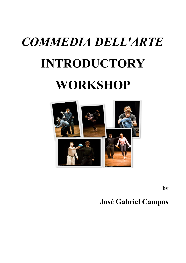# *COMMEDIA DELL'ARTE* **INTRODUCTORY WORKSHOP**



**by**

## **José Gabriel Campos**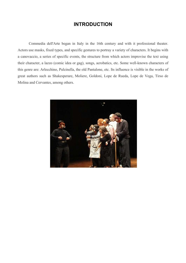#### **INTRODUCTION**

Commedia dell'Arte began in Italy in the 16th century and with it professional theater. Actors use masks, fixed types, and specific gestures to portray a variety of characters. It begins with a canovaccio, a series of specific events, the structure from which actors improvise the text using their character, a lazzo (comic idea or gag), songs, acrobatics, etc. Some well-known characters of this genre are: Arlecchino, Pulcinella, the old Pantalone, etc. Its influence is visible in the works of great authors such as Shakesperare, Moliere, Goldoni, Lope de Rueda, Lope de Vega, Tirso de Molina and Cervantes, among others.

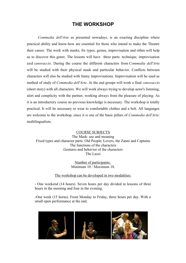#### **THE WORKSHOP**

*Commedia dell'Arte* as presented nowadays, is an exacting discipline where practical ability and know-how are essential for those who intend to make the Theatre their career. The work with masks, fix types, gestus, improvisation and rithm will help us to discover this genre. The lessons will have three parts: technique, improvisation and *canovaccio*. During the course the different characters from *Commedia dell'Arte* will be studied with their physical mask and particular behavior. Conflicts between characters will also be studied with funny improvisations. Improvisation will be used as method of study of *Commedia dell'Arte*. At the end groups will work a final *canovaccio* (short story) with all characters. We will work always trying to develop actor's listening, alert and complicity with the partner, working always from the pleasure of playing. As it is an introductory course no previous knowledge is necessary. The workshop is totally practical. It will be necessary to wear to comfortable clothes and a belt. All languages are welcome to the workshop, since it is one of the basic pillars of *Commedia dell'Arte*: multilingualism.

COURSE SUBJECTS The Mask: use and meaning Fixed types and character parts: Old People, Lovers, the Zanni and Captains The functions of the characters Gestures and behavior of the characters The Lazzi

> Number of participants: Minimum 10 / Maximum 18.

The workshop can be developed in two modalities:

- One weekend (14 hours). Seven hours per day divided in lessons of three hours in the morning and four in the evening.

-One week (15 horas). From Monday to Friday, three hours per day. With a small open performance at the end.